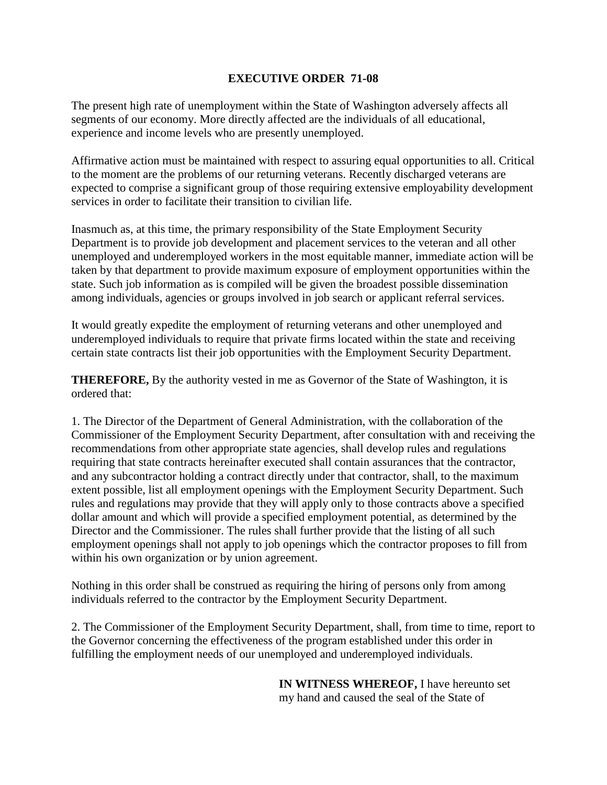## **EXECUTIVE ORDER 71-08**

The present high rate of unemployment within the State of Washington adversely affects all segments of our economy. More directly affected are the individuals of all educational, experience and income levels who are presently unemployed.

Affirmative action must be maintained with respect to assuring equal opportunities to all. Critical to the moment are the problems of our returning veterans. Recently discharged veterans are expected to comprise a significant group of those requiring extensive employability development services in order to facilitate their transition to civilian life.

Inasmuch as, at this time, the primary responsibility of the State Employment Security Department is to provide job development and placement services to the veteran and all other unemployed and underemployed workers in the most equitable manner, immediate action will be taken by that department to provide maximum exposure of employment opportunities within the state. Such job information as is compiled will be given the broadest possible dissemination among individuals, agencies or groups involved in job search or applicant referral services.

It would greatly expedite the employment of returning veterans and other unemployed and underemployed individuals to require that private firms located within the state and receiving certain state contracts list their job opportunities with the Employment Security Department.

**THEREFORE,** By the authority vested in me as Governor of the State of Washington, it is ordered that:

1. The Director of the Department of General Administration, with the collaboration of the Commissioner of the Employment Security Department, after consultation with and receiving the recommendations from other appropriate state agencies, shall develop rules and regulations requiring that state contracts hereinafter executed shall contain assurances that the contractor, and any subcontractor holding a contract directly under that contractor, shall, to the maximum extent possible, list all employment openings with the Employment Security Department. Such rules and regulations may provide that they will apply only to those contracts above a specified dollar amount and which will provide a specified employment potential, as determined by the Director and the Commissioner. The rules shall further provide that the listing of all such employment openings shall not apply to job openings which the contractor proposes to fill from within his own organization or by union agreement.

Nothing in this order shall be construed as requiring the hiring of persons only from among individuals referred to the contractor by the Employment Security Department.

2. The Commissioner of the Employment Security Department, shall, from time to time, report to the Governor concerning the effectiveness of the program established under this order in fulfilling the employment needs of our unemployed and underemployed individuals.

> **IN WITNESS WHEREOF,** I have hereunto set my hand and caused the seal of the State of